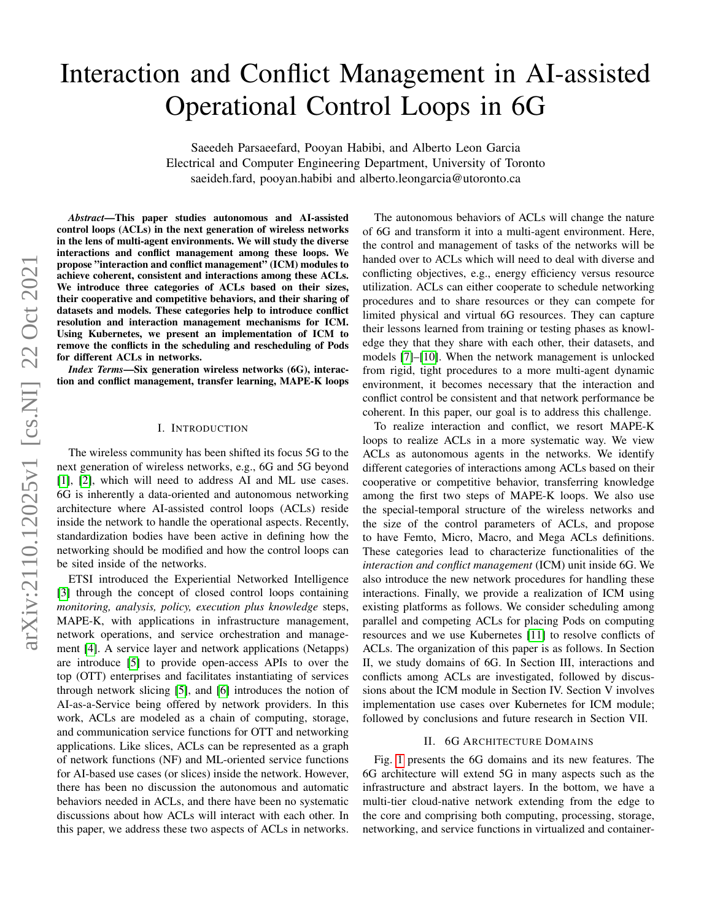# Interaction and Conflict Management in AI-assisted Operational Control Loops in 6G

Saeedeh Parsaeefard, Pooyan Habibi, and Alberto Leon Garcia Electrical and Computer Engineering Department, University of Toronto saeideh.fard, pooyan.habibi and alberto.leongarcia@utoronto.ca

*Abstract*—This paper studies autonomous and AI-assisted control loops (ACLs) in the next generation of wireless networks in the lens of multi-agent environments. We will study the diverse interactions and conflict management among these loops. We propose "interaction and conflict management" (ICM) modules to achieve coherent, consistent and interactions among these ACLs. We introduce three categories of ACLs based on their sizes, their cooperative and competitive behaviors, and their sharing of datasets and models. These categories help to introduce conflict resolution and interaction management mechanisms for ICM. Using Kubernetes, we present an implementation of ICM to remove the conflicts in the scheduling and rescheduling of Pods for different ACLs in networks.

*Index Terms*—Six generation wireless networks (6G), interaction and conflict management, transfer learning, MAPE-K loops

## I. INTRODUCTION

The wireless community has been shifted its focus 5G to the next generation of wireless networks, e.g., 6G and 5G beyond [\[1\]](#page-7-0), [\[2\]](#page-7-1), which will need to address AI and ML use cases. 6G is inherently a data-oriented and autonomous networking architecture where AI-assisted control loops (ACLs) reside inside the network to handle the operational aspects. Recently, standardization bodies have been active in defining how the networking should be modified and how the control loops can be sited inside of the networks.

ETSI introduced the Experiential Networked Intelligence [\[3\]](#page-7-2) through the concept of closed control loops containing *monitoring, analysis, policy, execution plus knowledge* steps, MAPE-K, with applications in infrastructure management, network operations, and service orchestration and management [\[4\]](#page-7-3). A service layer and network applications (Netapps) are introduce [\[5\]](#page-7-4) to provide open-access APIs to over the top (OTT) enterprises and facilitates instantiating of services through network slicing [\[5\]](#page-7-4), and [\[6\]](#page-7-5) introduces the notion of AI-as-a-Service being offered by network providers. In this work, ACLs are modeled as a chain of computing, storage, and communication service functions for OTT and networking applications. Like slices, ACLs can be represented as a graph of network functions (NF) and ML-oriented service functions for AI-based use cases (or slices) inside the network. However, there has been no discussion the autonomous and automatic behaviors needed in ACLs, and there have been no systematic discussions about how ACLs will interact with each other. In this paper, we address these two aspects of ACLs in networks.

The autonomous behaviors of ACLs will change the nature of 6G and transform it into a multi-agent environment. Here, the control and management of tasks of the networks will be handed over to ACLs which will need to deal with diverse and conflicting objectives, e.g., energy efficiency versus resource utilization. ACLs can either cooperate to schedule networking procedures and to share resources or they can compete for limited physical and virtual 6G resources. They can capture their lessons learned from training or testing phases as knowledge they that they share with each other, their datasets, and models [\[7\]](#page-7-6)–[\[10\]](#page-7-7). When the network management is unlocked from rigid, tight procedures to a more multi-agent dynamic environment, it becomes necessary that the interaction and conflict control be consistent and that network performance be coherent. In this paper, our goal is to address this challenge.

To realize interaction and conflict, we resort MAPE-K loops to realize ACLs in a more systematic way. We view ACLs as autonomous agents in the networks. We identify different categories of interactions among ACLs based on their cooperative or competitive behavior, transferring knowledge among the first two steps of MAPE-K loops. We also use the special-temporal structure of the wireless networks and the size of the control parameters of ACLs, and propose to have Femto, Micro, Macro, and Mega ACLs definitions. These categories lead to characterize functionalities of the *interaction and conflict management* (ICM) unit inside 6G. We also introduce the new network procedures for handling these interactions. Finally, we provide a realization of ICM using existing platforms as follows. We consider scheduling among parallel and competing ACLs for placing Pods on computing resources and we use Kubernetes [\[11\]](#page-7-8) to resolve conflicts of ACLs. The organization of this paper is as follows. In Section II, we study domains of 6G. In Section III, interactions and conflicts among ACLs are investigated, followed by discussions about the ICM module in Section IV. Section V involves implementation use cases over Kubernetes for ICM module; followed by conclusions and future research in Section VII.

#### II. 6G ARCHITECTURE DOMAINS

Fig. [1](#page-1-0) presents the 6G domains and its new features. The 6G architecture will extend 5G in many aspects such as the infrastructure and abstract layers. In the bottom, we have a multi-tier cloud-native network extending from the edge to the core and comprising both computing, processing, storage, networking, and service functions in virtualized and container-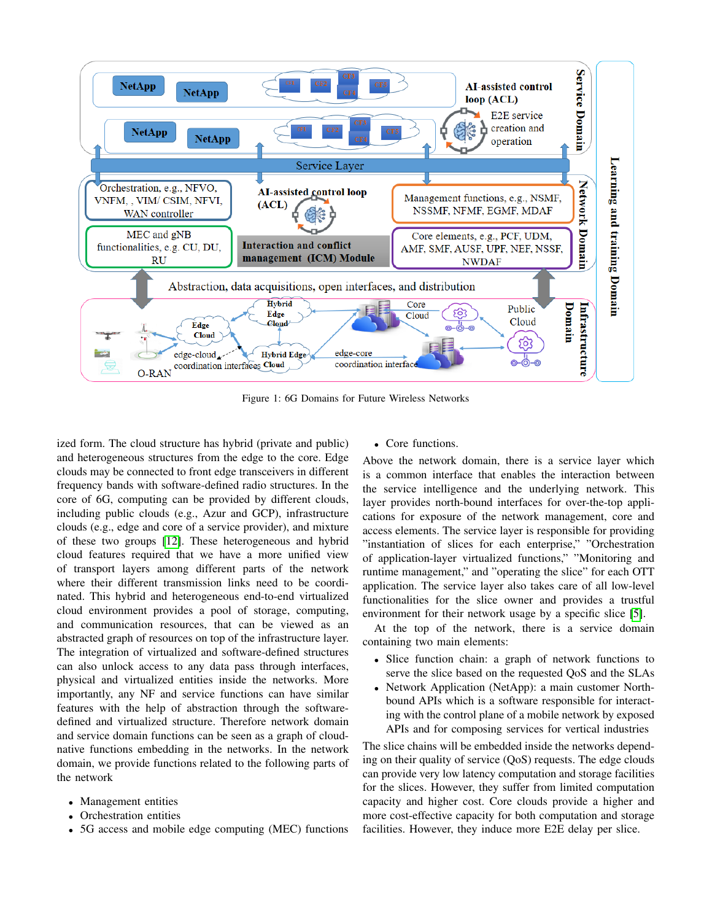<span id="page-1-0"></span>

Figure 1: 6G Domains for Future Wireless Networks

ized form. The cloud structure has hybrid (private and public) and heterogeneous structures from the edge to the core. Edge clouds may be connected to front edge transceivers in different frequency bands with software-defined radio structures. In the core of 6G, computing can be provided by different clouds, including public clouds (e.g., Azur and GCP), infrastructure clouds (e.g., edge and core of a service provider), and mixture of these two groups [\[12\]](#page-7-9). These heterogeneous and hybrid cloud features required that we have a more unified view of transport layers among different parts of the network where their different transmission links need to be coordinated. This hybrid and heterogeneous end-to-end virtualized cloud environment provides a pool of storage, computing, and communication resources, that can be viewed as an abstracted graph of resources on top of the infrastructure layer. The integration of virtualized and software-defined structures can also unlock access to any data pass through interfaces, physical and virtualized entities inside the networks. More importantly, any NF and service functions can have similar features with the help of abstraction through the softwaredefined and virtualized structure. Therefore network domain and service domain functions can be seen as a graph of cloudnative functions embedding in the networks. In the network domain, we provide functions related to the following parts of the network

- Management entities
- Orchestration entities
- 5G access and mobile edge computing (MEC) functions

• Core functions.

Above the network domain, there is a service layer which is a common interface that enables the interaction between the service intelligence and the underlying network. This layer provides north-bound interfaces for over-the-top applications for exposure of the network management, core and access elements. The service layer is responsible for providing "instantiation of slices for each enterprise," "Orchestration of application-layer virtualized functions," "Monitoring and runtime management," and "operating the slice" for each OTT application. The service layer also takes care of all low-level functionalities for the slice owner and provides a trustful environment for their network usage by a specific slice [\[5\]](#page-7-4).

At the top of the network, there is a service domain containing two main elements:

- Slice function chain: a graph of network functions to serve the slice based on the requested QoS and the SLAs
- Network Application (NetApp): a main customer Northbound APIs which is a software responsible for interacting with the control plane of a mobile network by exposed APIs and for composing services for vertical industries

The slice chains will be embedded inside the networks depending on their quality of service (QoS) requests. The edge clouds can provide very low latency computation and storage facilities for the slices. However, they suffer from limited computation capacity and higher cost. Core clouds provide a higher and more cost-effective capacity for both computation and storage facilities. However, they induce more E2E delay per slice.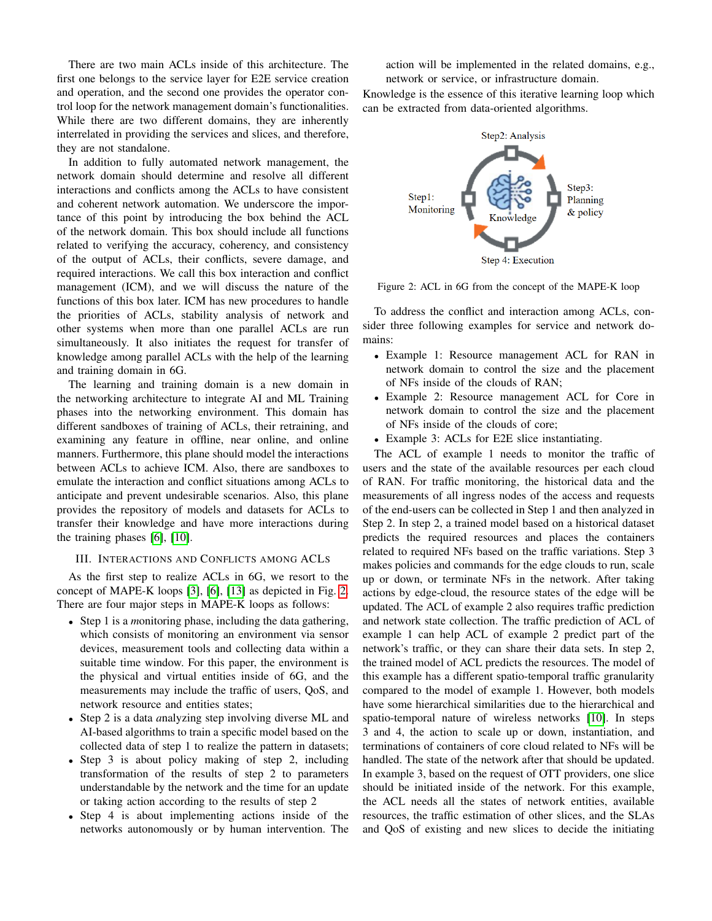There are two main ACLs inside of this architecture. The first one belongs to the service layer for E2E service creation and operation, and the second one provides the operator control loop for the network management domain's functionalities. While there are two different domains, they are inherently interrelated in providing the services and slices, and therefore, they are not standalone.

In addition to fully automated network management, the network domain should determine and resolve all different interactions and conflicts among the ACLs to have consistent and coherent network automation. We underscore the importance of this point by introducing the box behind the ACL of the network domain. This box should include all functions related to verifying the accuracy, coherency, and consistency of the output of ACLs, their conflicts, severe damage, and required interactions. We call this box interaction and conflict management (ICM), and we will discuss the nature of the functions of this box later. ICM has new procedures to handle the priorities of ACLs, stability analysis of network and other systems when more than one parallel ACLs are run simultaneously. It also initiates the request for transfer of knowledge among parallel ACLs with the help of the learning and training domain in 6G.

The learning and training domain is a new domain in the networking architecture to integrate AI and ML Training phases into the networking environment. This domain has different sandboxes of training of ACLs, their retraining, and examining any feature in offline, near online, and online manners. Furthermore, this plane should model the interactions between ACLs to achieve ICM. Also, there are sandboxes to emulate the interaction and conflict situations among ACLs to anticipate and prevent undesirable scenarios. Also, this plane provides the repository of models and datasets for ACLs to transfer their knowledge and have more interactions during the training phases [\[6\]](#page-7-5), [\[10\]](#page-7-7).

#### III. INTERACTIONS AND CONFLICTS AMONG ACLS

As the first step to realize ACLs in 6G, we resort to the concept of MAPE-K loops [\[3\]](#page-7-2), [\[6\]](#page-7-5), [\[13\]](#page-7-10) as depicted in Fig. [2.](#page-2-0) There are four major steps in MAPE-K loops as follows:

- Step 1 is a *m*onitoring phase, including the data gathering, which consists of monitoring an environment via sensor devices, measurement tools and collecting data within a suitable time window. For this paper, the environment is the physical and virtual entities inside of 6G, and the measurements may include the traffic of users, QoS, and network resource and entities states;
- Step 2 is a data *a*nalyzing step involving diverse ML and AI-based algorithms to train a specific model based on the collected data of step 1 to realize the pattern in datasets;
- Step 3 is about policy making of step 2, including transformation of the results of step 2 to parameters understandable by the network and the time for an update or taking action according to the results of step 2
- Step 4 is about implementing actions inside of the networks autonomously or by human intervention. The

action will be implemented in the related domains, e.g., network or service, or infrastructure domain.

Knowledge is the essence of this iterative learning loop which can be extracted from data-oriented algorithms.

<span id="page-2-0"></span>

Figure 2: ACL in 6G from the concept of the MAPE-K loop

To address the conflict and interaction among ACLs, consider three following examples for service and network domains:

- Example 1: Resource management ACL for RAN in network domain to control the size and the placement of NFs inside of the clouds of RAN;
- Example 2: Resource management ACL for Core in network domain to control the size and the placement of NFs inside of the clouds of core;
- Example 3: ACLs for E2E slice instantiating.

The ACL of example 1 needs to monitor the traffic of users and the state of the available resources per each cloud of RAN. For traffic monitoring, the historical data and the measurements of all ingress nodes of the access and requests of the end-users can be collected in Step 1 and then analyzed in Step 2. In step 2, a trained model based on a historical dataset predicts the required resources and places the containers related to required NFs based on the traffic variations. Step 3 makes policies and commands for the edge clouds to run, scale up or down, or terminate NFs in the network. After taking actions by edge-cloud, the resource states of the edge will be updated. The ACL of example 2 also requires traffic prediction and network state collection. The traffic prediction of ACL of example 1 can help ACL of example 2 predict part of the network's traffic, or they can share their data sets. In step 2, the trained model of ACL predicts the resources. The model of this example has a different spatio-temporal traffic granularity compared to the model of example 1. However, both models have some hierarchical similarities due to the hierarchical and spatio-temporal nature of wireless networks [\[10\]](#page-7-7). In steps 3 and 4, the action to scale up or down, instantiation, and terminations of containers of core cloud related to NFs will be handled. The state of the network after that should be updated. In example 3, based on the request of OTT providers, one slice should be initiated inside of the network. For this example, the ACL needs all the states of network entities, available resources, the traffic estimation of other slices, and the SLAs and QoS of existing and new slices to decide the initiating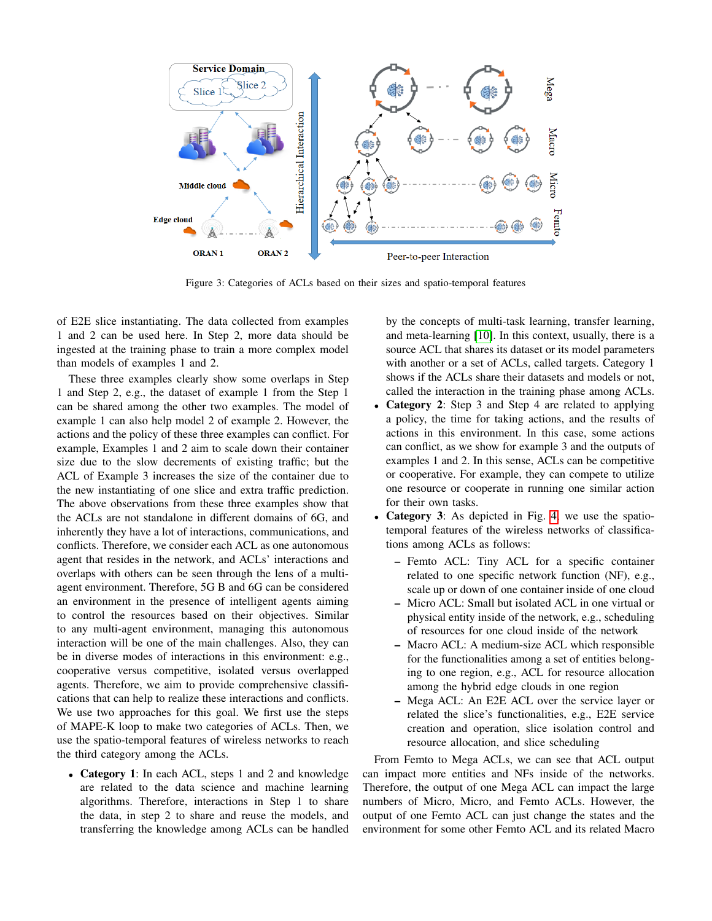<span id="page-3-0"></span>

Figure 3: Categories of ACLs based on their sizes and spatio-temporal features

of E2E slice instantiating. The data collected from examples 1 and 2 can be used here. In Step 2, more data should be ingested at the training phase to train a more complex model than models of examples 1 and 2.

These three examples clearly show some overlaps in Step 1 and Step 2, e.g., the dataset of example 1 from the Step 1 can be shared among the other two examples. The model of example 1 can also help model 2 of example 2. However, the actions and the policy of these three examples can conflict. For example, Examples 1 and 2 aim to scale down their container size due to the slow decrements of existing traffic; but the ACL of Example 3 increases the size of the container due to the new instantiating of one slice and extra traffic prediction. The above observations from these three examples show that the ACLs are not standalone in different domains of 6G, and inherently they have a lot of interactions, communications, and conflicts. Therefore, we consider each ACL as one autonomous agent that resides in the network, and ACLs' interactions and overlaps with others can be seen through the lens of a multiagent environment. Therefore, 5G B and 6G can be considered an environment in the presence of intelligent agents aiming to control the resources based on their objectives. Similar to any multi-agent environment, managing this autonomous interaction will be one of the main challenges. Also, they can be in diverse modes of interactions in this environment: e.g., cooperative versus competitive, isolated versus overlapped agents. Therefore, we aim to provide comprehensive classifications that can help to realize these interactions and conflicts. We use two approaches for this goal. We first use the steps of MAPE-K loop to make two categories of ACLs. Then, we use the spatio-temporal features of wireless networks to reach the third category among the ACLs.

• Category 1: In each ACL, steps 1 and 2 and knowledge are related to the data science and machine learning algorithms. Therefore, interactions in Step 1 to share the data, in step 2 to share and reuse the models, and transferring the knowledge among ACLs can be handled by the concepts of multi-task learning, transfer learning, and meta-learning [\[10\]](#page-7-7). In this context, usually, there is a source ACL that shares its dataset or its model parameters with another or a set of ACLs, called targets. Category 1 shows if the ACLs share their datasets and models or not, called the interaction in the training phase among ACLs.

- Category 2: Step 3 and Step 4 are related to applying a policy, the time for taking actions, and the results of actions in this environment. In this case, some actions can conflict, as we show for example 3 and the outputs of examples 1 and 2. In this sense, ACLs can be competitive or cooperative. For example, they can compete to utilize one resource or cooperate in running one similar action for their own tasks.
- Category 3: As depicted in Fig. [4,](#page-4-0) we use the spatiotemporal features of the wireless networks of classifications among ACLs as follows:
	- Femto ACL: Tiny ACL for a specific container related to one specific network function (NF), e.g., scale up or down of one container inside of one cloud
	- Micro ACL: Small but isolated ACL in one virtual or physical entity inside of the network, e.g., scheduling of resources for one cloud inside of the network
	- Macro ACL: A medium-size ACL which responsible for the functionalities among a set of entities belonging to one region, e.g., ACL for resource allocation among the hybrid edge clouds in one region
	- Mega ACL: An E2E ACL over the service layer or related the slice's functionalities, e.g., E2E service creation and operation, slice isolation control and resource allocation, and slice scheduling

From Femto to Mega ACLs, we can see that ACL output can impact more entities and NFs inside of the networks. Therefore, the output of one Mega ACL can impact the large numbers of Micro, Micro, and Femto ACLs. However, the output of one Femto ACL can just change the states and the environment for some other Femto ACL and its related Macro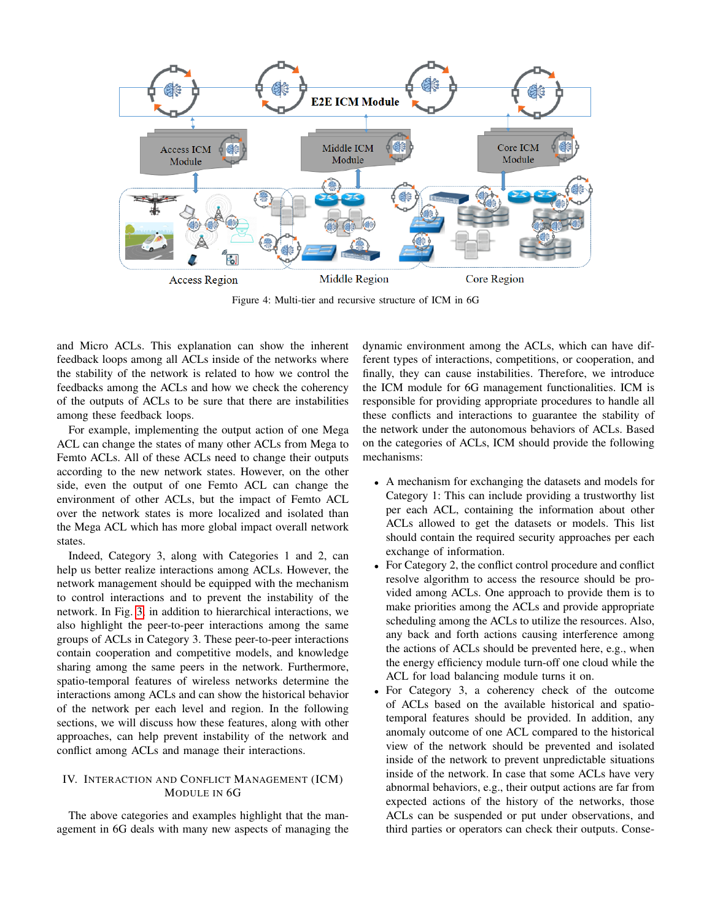<span id="page-4-0"></span>

Figure 4: Multi-tier and recursive structure of ICM in 6G

and Micro ACLs. This explanation can show the inherent feedback loops among all ACLs inside of the networks where the stability of the network is related to how we control the feedbacks among the ACLs and how we check the coherency of the outputs of ACLs to be sure that there are instabilities among these feedback loops.

For example, implementing the output action of one Mega ACL can change the states of many other ACLs from Mega to Femto ACLs. All of these ACLs need to change their outputs according to the new network states. However, on the other side, even the output of one Femto ACL can change the environment of other ACLs, but the impact of Femto ACL over the network states is more localized and isolated than the Mega ACL which has more global impact overall network states.

Indeed, Category 3, along with Categories 1 and 2, can help us better realize interactions among ACLs. However, the network management should be equipped with the mechanism to control interactions and to prevent the instability of the network. In Fig. [3,](#page-3-0) in addition to hierarchical interactions, we also highlight the peer-to-peer interactions among the same groups of ACLs in Category 3. These peer-to-peer interactions contain cooperation and competitive models, and knowledge sharing among the same peers in the network. Furthermore, spatio-temporal features of wireless networks determine the interactions among ACLs and can show the historical behavior of the network per each level and region. In the following sections, we will discuss how these features, along with other approaches, can help prevent instability of the network and conflict among ACLs and manage their interactions.

## IV. INTERACTION AND CONFLICT MANAGEMENT (ICM) MODULE IN 6G

The above categories and examples highlight that the management in 6G deals with many new aspects of managing the dynamic environment among the ACLs, which can have different types of interactions, competitions, or cooperation, and finally, they can cause instabilities. Therefore, we introduce the ICM module for 6G management functionalities. ICM is responsible for providing appropriate procedures to handle all these conflicts and interactions to guarantee the stability of the network under the autonomous behaviors of ACLs. Based on the categories of ACLs, ICM should provide the following mechanisms:

- A mechanism for exchanging the datasets and models for Category 1: This can include providing a trustworthy list per each ACL, containing the information about other ACLs allowed to get the datasets or models. This list should contain the required security approaches per each exchange of information.
- For Category 2, the conflict control procedure and conflict resolve algorithm to access the resource should be provided among ACLs. One approach to provide them is to make priorities among the ACLs and provide appropriate scheduling among the ACLs to utilize the resources. Also, any back and forth actions causing interference among the actions of ACLs should be prevented here, e.g., when the energy efficiency module turn-off one cloud while the ACL for load balancing module turns it on.
- For Category 3, a coherency check of the outcome of ACLs based on the available historical and spatiotemporal features should be provided. In addition, any anomaly outcome of one ACL compared to the historical view of the network should be prevented and isolated inside of the network to prevent unpredictable situations inside of the network. In case that some ACLs have very abnormal behaviors, e.g., their output actions are far from expected actions of the history of the networks, those ACLs can be suspended or put under observations, and third parties or operators can check their outputs. Conse-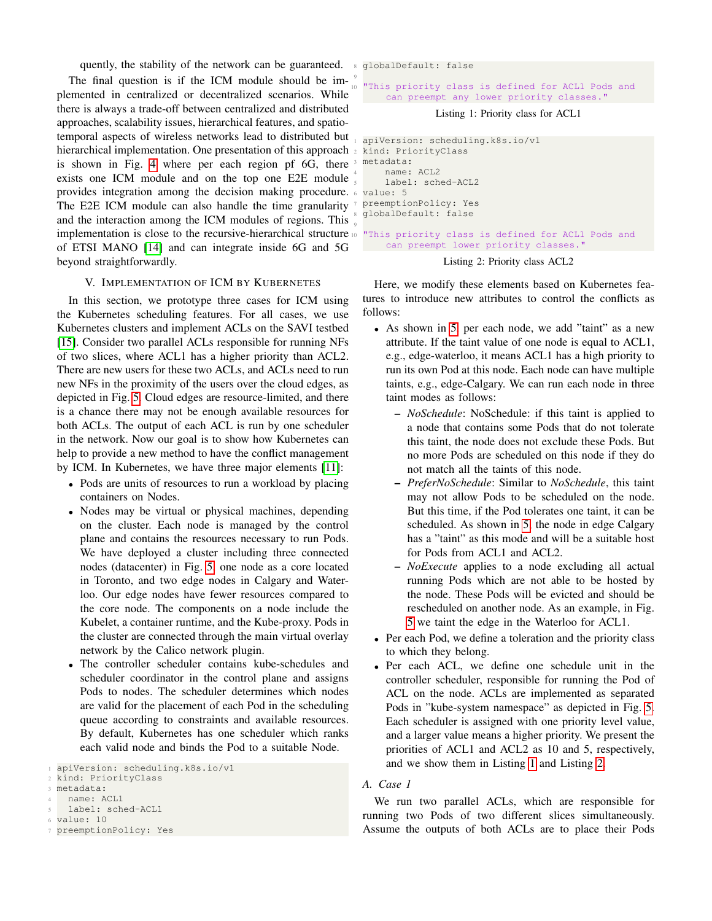quently, the stability of the network can be guaranteed. <sup>8</sup> globalDefault: false

The final question is if the ICM module should be implemented in centralized or decentralized scenarios. While there is always a trade-off between centralized and distributed approaches, scalability issues, hierarchical features, and spatiotemporal aspects of wireless networks lead to distributed but hierarchical implementation. One presentation of this approach <sub>2</sub> is shown in Fig. [4](#page-4-0) where per each region pf 6G, there exists one ICM module and on the top one E2E module provides integration among the decision making procedure. The E2E ICM module can also handle the time granularity and the interaction among the ICM modules of regions. This implementation is close to the recursive-hierarchical structure of ETSI MANO [\[14\]](#page-7-11) and can integrate inside 6G and 5G beyond straightforwardly.

## V. IMPLEMENTATION OF ICM BY KUBERNETES

In this section, we prototype three cases for ICM using the Kubernetes scheduling features. For all cases, we use Kubernetes clusters and implement ACLs on the SAVI testbed [\[15\]](#page-7-12). Consider two parallel ACLs responsible for running NFs of two slices, where ACL1 has a higher priority than ACL2. There are new users for these two ACLs, and ACLs need to run new NFs in the proximity of the users over the cloud edges, as depicted in Fig. [5.](#page-6-0) Cloud edges are resource-limited, and there is a chance there may not be enough available resources for both ACLs. The output of each ACL is run by one scheduler in the network. Now our goal is to show how Kubernetes can help to provide a new method to have the conflict management by ICM. In Kubernetes, we have three major elements [\[11\]](#page-7-8):

- Pods are units of resources to run a workload by placing containers on Nodes.
- Nodes may be virtual or physical machines, depending on the cluster. Each node is managed by the control plane and contains the resources necessary to run Pods. We have deployed a cluster including three connected nodes (datacenter) in Fig. [5,](#page-6-0) one node as a core located in Toronto, and two edge nodes in Calgary and Waterloo. Our edge nodes have fewer resources compared to the core node. The components on a node include the Kubelet, a container runtime, and the Kube-proxy. Pods in the cluster are connected through the main virtual overlay network by the Calico network plugin.
- The controller scheduler contains kube-schedules and scheduler coordinator in the control plane and assigns Pods to nodes. The scheduler determines which nodes are valid for the placement of each Pod in the scheduling queue according to constraints and available resources. By default, Kubernetes has one scheduler which ranks each valid node and binds the Pod to a suitable Node.

```
7 preemptionPolicy: Yes
```
"This priority class is defined for ACL1 Pods and can preempt any lower priority classes."

## Listing 1: Priority class for ACL1

<span id="page-5-1"></span>

|   | apiVersion: scheduling.k8s.io/v1                     |
|---|------------------------------------------------------|
|   | 2 kind: PriorityClass                                |
|   | 3 metadata:                                          |
|   | 4 name: ACL2                                         |
|   | 5 label: sched-ACL2                                  |
|   | $6$ value: $5$                                       |
|   | 7 preemptionPolicy: Yes                              |
|   | 8 globalDefault: false                               |
| Q |                                                      |
|   | 10 "This priority class is defined for ACL1 Pods and |
|   | can preempt lower priority classes."                 |

Listing 2: Priority class ACL2

Here, we modify these elements based on Kubernetes features to introduce new attributes to control the conflicts as follows:

- As shown in [5,](#page-6-0) per each node, we add "taint" as a new attribute. If the taint value of one node is equal to ACL1, e.g., edge-waterloo, it means ACL1 has a high priority to run its own Pod at this node. Each node can have multiple taints, e.g., edge-Calgary. We can run each node in three taint modes as follows:
	- *NoSchedule*: NoSchedule: if this taint is applied to a node that contains some Pods that do not tolerate this taint, the node does not exclude these Pods. But no more Pods are scheduled on this node if they do not match all the taints of this node.
	- *PreferNoSchedule*: Similar to *NoSchedule*, this taint may not allow Pods to be scheduled on the node. But this time, if the Pod tolerates one taint, it can be scheduled. As shown in [5,](#page-6-0) the node in edge Calgary has a "taint" as this mode and will be a suitable host for Pods from ACL1 and ACL2.
	- *NoExecute* applies to a node excluding all actual running Pods which are not able to be hosted by the node. These Pods will be evicted and should be rescheduled on another node. As an example, in Fig. [5](#page-6-0) we taint the edge in the Waterloo for ACL1.
- Per each Pod, we define a toleration and the priority class to which they belong.
- Per each ACL, we define one schedule unit in the controller scheduler, responsible for running the Pod of ACL on the node. ACLs are implemented as separated Pods in "kube-system namespace" as depicted in Fig. [5.](#page-6-0) Each scheduler is assigned with one priority level value, and a larger value means a higher priority. We present the priorities of ACL1 and ACL2 as 10 and 5, respectively, and we show them in Listing [1](#page-5-0) and Listing [2.](#page-5-1)

#### *A. Case 1*

We run two parallel ACLs, which are responsible for running two Pods of two different slices simultaneously. Assume the outputs of both ACLs are to place their Pods

<span id="page-5-0"></span>apiVersion: scheduling.k8s.io/v1

kind: PriorityClass

metadata:

name: ACL1

label: sched-ACL1 <sup>6</sup> value: 10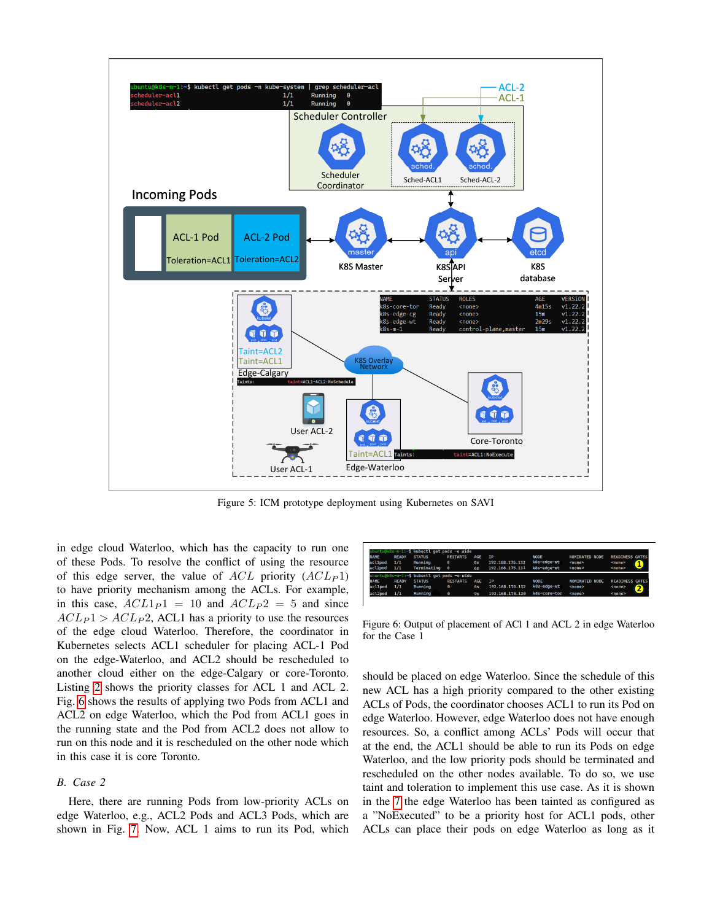<span id="page-6-0"></span>

Figure 5: ICM prototype deployment using Kubernetes on SAVI

in edge cloud Waterloo, which has the capacity to run one of these Pods. To resolve the conflict of using the resource of this edge server, the value of  $ACL$  priority  $(ACL<sub>P</sub>1)$ to have priority mechanism among the ACLs. For example, in this case,  $ACL1_P1 = 10$  and  $ACL_P2 = 5$  and since  $ACL_P1 > ACL_P2$ , ACL1 has a priority to use the resources of the edge cloud Waterloo. Therefore, the coordinator in Kubernetes selects ACL1 scheduler for placing ACL-1 Pod on the edge-Waterloo, and ACL2 should be rescheduled to another cloud either on the edge-Calgary or core-Toronto. Listing [2](#page-5-1) shows the priority classes for ACL 1 and ACL 2. Fig. [6](#page-6-1) shows the results of applying two Pods from ACL1 and ACL2 on edge Waterloo, which the Pod from ACL1 goes in the running state and the Pod from ACL2 does not allow to run on this node and it is rescheduled on the other node which in this case it is core Toronto.

### *B. Case 2*

Here, there are running Pods from low-priority ACLs on edge Waterloo, e.g., ACL2 Pods and ACL3 Pods, which are shown in Fig. [7.](#page-7-13) Now, ACL 1 aims to run its Pod, which

<span id="page-6-1"></span>

| NAME<br>acl1pod | <b>READY</b><br>1/1 | <b>STATUS</b><br>Running                    | <b>RESTARTS</b><br>$\bullet$ | <b>AGE</b><br>6s | <b>IP</b><br>192.168.175.132 | <b>NODE</b><br>k8s-edge-wt | <b>NOMINATED NODE</b><br><none></none> | <b>READINESS GATES</b><br><none></none> |  |
|-----------------|---------------------|---------------------------------------------|------------------------------|------------------|------------------------------|----------------------------|----------------------------------------|-----------------------------------------|--|
| acl2pod         | 1/1                 | Terminating                                 | $\theta$                     | 6s               | 192.168.175.131              | k8s-edge-wt                | <none></none>                          | <none></none>                           |  |
|                 |                     | ubuntu@k8s-m-1:~\$ kubectl get pods -o wide |                              |                  |                              |                            |                                        |                                         |  |
| NAME            | <b>READY</b>        | <b>STATUS</b>                               | <b>RESTARTS</b>              | <b>AGE</b>       | <b>IP</b>                    | <b>NODE</b>                | <b>NOMINATED NODE</b>                  | <b>READINESS GATES</b>                  |  |
| acl1pod         | 1/1                 | Running                                     | θ                            | 6s               | 192.168.175.132              | k8s-edge-wt                | <none></none>                          | 2<br><none></none>                      |  |
| acl2pod         | 1/1                 | Running                                     | θ                            | 95               | 192.168.178.120              | k8s-core-tor               | <none></none>                          | <none></none>                           |  |

Figure 6: Output of placement of ACl 1 and ACL 2 in edge Waterloo for the Case 1

should be placed on edge Waterloo. Since the schedule of this new ACL has a high priority compared to the other existing ACLs of Pods, the coordinator chooses ACL1 to run its Pod on edge Waterloo. However, edge Waterloo does not have enough resources. So, a conflict among ACLs' Pods will occur that at the end, the ACL1 should be able to run its Pods on edge Waterloo, and the low priority pods should be terminated and rescheduled on the other nodes available. To do so, we use taint and toleration to implement this use case. As it is shown in the [7](#page-7-13) the edge Waterloo has been tainted as configured as a "NoExecuted" to be a priority host for ACL1 pods, other ACLs can place their pods on edge Waterloo as long as it